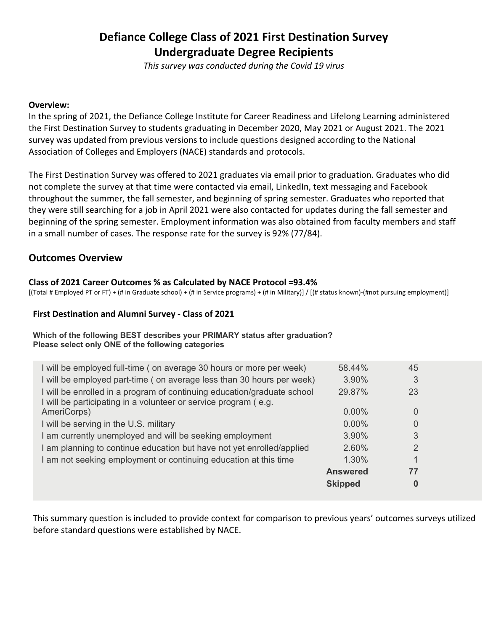# **Defiance College Class of 2021 First Destination Survey Undergraduate Degree Recipients**

*This survey was conducted during the Covid 19 virus*

#### **Overview:**

In the spring of 2021, the Defiance College Institute for Career Readiness and Lifelong Learning administered the First Destination Survey to students graduating in December 2020, May 2021 or August 2021. The 2021 survey was updated from previous versions to include questions designed according to the National Association of Colleges and Employers (NACE) standards and protocols.

The First Destination Survey was offered to 2021 graduates via email prior to graduation. Graduates who did not complete the survey at that time were contacted via email, LinkedIn, text messaging and Facebook throughout the summer, the fall semester, and beginning of spring semester. Graduates who reported that they were still searching for a job in April 2021 were also contacted for updates during the fall semester and beginning of the spring semester. Employment information was also obtained from faculty members and staff in a small number of cases. The response rate for the survey is 92% (77/84).

#### **Outcomes Overview**

#### **Class of 2021 Career Outcomes % as Calculated by NACE Protocol =93.4%**

[(Total # Employed PT or FT) + (# in Graduate school) + (# in Service programs) + (# in Military)] / [(# status known)‐(#not pursuing employment)]

#### **First Destination and Alumni Survey ‐ Class of 2021**

#### **Which of the following BEST describes your PRIMARY status after graduation? Please select only ONE of the following categories**

| I will be employed full-time (on average 30 hours or more per week)                                                                        | 58.44%          | 45 |  |
|--------------------------------------------------------------------------------------------------------------------------------------------|-----------------|----|--|
| I will be employed part-time (on average less than 30 hours per week)                                                                      | 3.90%           | 3  |  |
| I will be enrolled in a program of continuing education/graduate school<br>I will be participating in a volunteer or service program (e.g. | 29.87%          | 23 |  |
| AmeriCorps)                                                                                                                                | $0.00\%$        | 0  |  |
| I will be serving in the U.S. military                                                                                                     | $0.00\%$        | 0  |  |
| I am currently unemployed and will be seeking employment                                                                                   | 3.90%           | 3  |  |
| I am planning to continue education but have not yet enrolled/applied                                                                      | 2.60%           | 2  |  |
| I am not seeking employment or continuing education at this time                                                                           | 1.30%           |    |  |
|                                                                                                                                            | <b>Answered</b> | 77 |  |
|                                                                                                                                            | <b>Skipped</b>  | 0  |  |

This summary question is included to provide context for comparison to previous years' outcomes surveys utilized before standard questions were established by NACE.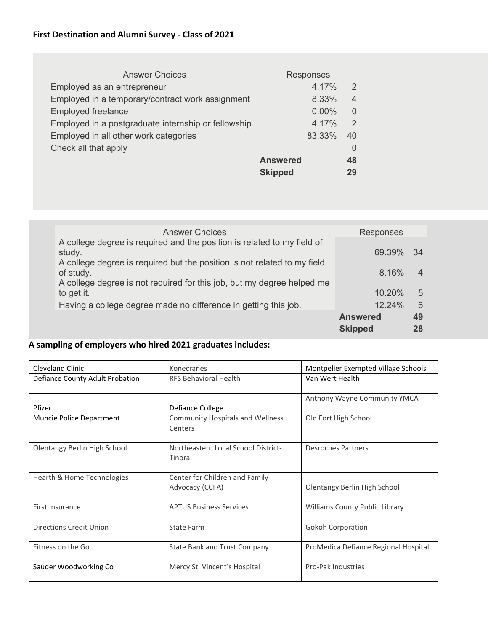# **First Destination and Alumni Survey ‐ Class of 2021**

| <b>Answer Choices</b>                               | Responses       |                |
|-----------------------------------------------------|-----------------|----------------|
| Employed as an entrepreneur                         | 4.17%           | $\mathcal{P}$  |
| Employed in a temporary/contract work assignment    | 8.33%           | $\overline{4}$ |
| <b>Employed freelance</b>                           | $0.00\%$        | $\Omega$       |
| Employed in a postgraduate internship or fellowship | 4.17%           | $\mathcal{P}$  |
| Employed in all other work categories               | 83.33%          | 40             |
| Check all that apply                                |                 | $\Omega$       |
|                                                     | <b>Answered</b> | 48             |
|                                                     | <b>Skipped</b>  | 29             |

| <b>Answer Choices</b>                                                                                                                                           | Responses       |                |
|-----------------------------------------------------------------------------------------------------------------------------------------------------------------|-----------------|----------------|
| A college degree is required and the position is related to my field of<br>study.                                                                               | 69.39%          | -34            |
| A college degree is required but the position is not related to my field<br>of study.<br>A college degree is not required for this job, but my degree helped me | $8.16\%$        | $\overline{4}$ |
| to get it.                                                                                                                                                      | $10.20\%$       | 5              |
| Having a college degree made no difference in getting this job.                                                                                                 | 12.24%          | 6              |
|                                                                                                                                                                 | <b>Answered</b> | 49             |
|                                                                                                                                                                 | <b>Skipped</b>  | 28             |

# **A sampling of employers who hired 2021 graduates includes:**

| <b>Cleveland Clinic</b>         | Konecranes                                         | Montpelier Exempted Village Schools   |
|---------------------------------|----------------------------------------------------|---------------------------------------|
| Defiance County Adult Probation | <b>RFS Behavioral Health</b>                       | Van Wert Health                       |
|                                 |                                                    | Anthony Wayne Community YMCA          |
| Pfizer                          | Defiance College                                   |                                       |
| <b>Muncie Police Department</b> | <b>Community Hospitals and Wellness</b><br>Centers | Old Fort High School                  |
| Olentangy Berlin High School    | Northeastern Local School District-<br>Tinora      | <b>Desroches Partners</b>             |
| Hearth & Home Technologies      | Center for Children and Family<br>Advocacy (CCFA)  | Olentangy Berlin High School          |
| First Insurance                 | <b>APTUS Business Services</b>                     | <b>Williams County Public Library</b> |
| Directions Credit Union         | <b>State Farm</b>                                  | <b>Gokoh Corporation</b>              |
| Fitness on the Go               | State Bank and Trust Company                       | ProMedica Defiance Regional Hospital  |
| Sauder Woodworking Co           | Mercy St. Vincent's Hospital                       | <b>Pro-Pak Industries</b>             |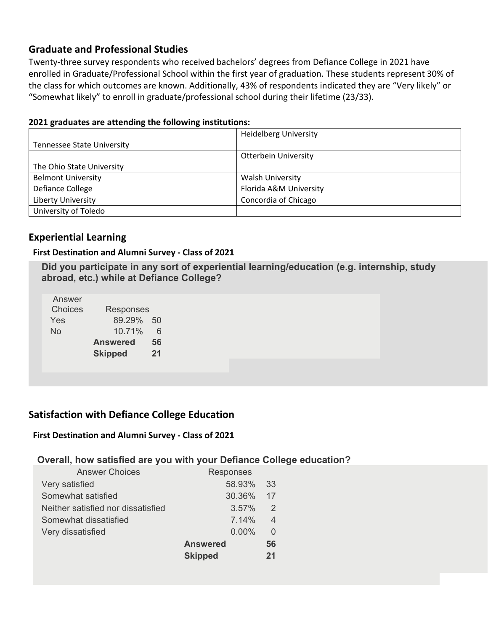## **Graduate and Professional Studies**

Twenty‐three survey respondents who received bachelors' degrees from Defiance College in 2021 have enrolled in Graduate/Professional School within the first year of graduation. These students represent 30% of the class for which outcomes are known. Additionally, 43% of respondents indicated they are "Very likely" or "Somewhat likely" to enroll in graduate/professional school during their lifetime (23/33).

#### **2021 graduates are attending the following institutions:**

|                                   | <b>Heidelberg University</b> |
|-----------------------------------|------------------------------|
| <b>Tennessee State University</b> |                              |
|                                   | <b>Otterbein University</b>  |
| The Ohio State University         |                              |
| <b>Belmont University</b>         | <b>Walsh University</b>      |
| Defiance College                  | Florida A&M University       |
| <b>Liberty University</b>         | Concordia of Chicago         |
| University of Toledo              |                              |

## **Experiential Learning**

### **First Destination and Alumni Survey ‐ Class of 2021**

**Did you participate in any sort of experiential learning/education (e.g. internship, study abroad, etc.) while at Defiance College?** 

|                          | <b>Answered</b><br><b>Skipped</b> | 56<br>21 |
|--------------------------|-----------------------------------|----------|
| No                       | 10.71%                            | 6        |
| Yes                      | 89.29%                            | 50       |
| Answer<br><b>Choices</b> | <b>Responses</b>                  |          |

## **Satisfaction with Defiance College Education**

#### **First Destination and Alumni Survey ‐ Class of 2021**

### **Overall, how satisfied are you with your Defiance College education?**

| <b>Answer Choices</b>              | Responses       |               |
|------------------------------------|-----------------|---------------|
| Very satisfied                     | 58.93%          | 33            |
| Somewhat satisfied                 | 30.36%          | 17            |
| Neither satisfied nor dissatisfied | 3.57%           | $\mathcal{P}$ |
| Somewhat dissatisfied              | 7.14%           | 4             |
| Very dissatisfied                  | 0.00%           |               |
|                                    | <b>Answered</b> | 56            |
|                                    | <b>Skipped</b>  | 21            |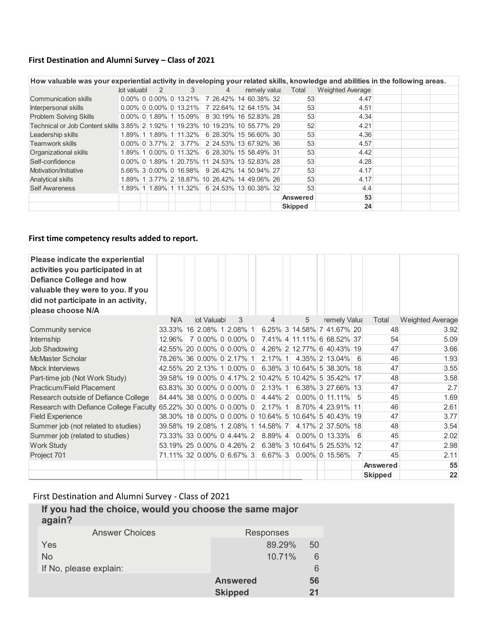### **First Destination and Alumni Survey – Class of 2021**

| How valuable was your experiential activity in developing your related skills, knowledge and abilities in the following areas. |               |  |   |                |                                                 |                |                         |  |
|--------------------------------------------------------------------------------------------------------------------------------|---------------|--|---|----------------|-------------------------------------------------|----------------|-------------------------|--|
|                                                                                                                                | lot valuabl 2 |  | 3 | $\overline{4}$ | remely valua                                    | Total          | <b>Weighted Average</b> |  |
| <b>Communication skills</b>                                                                                                    |               |  |   |                | $0.00\%$ 0 0.00% 0 13.21% 7 26.42% 14 60.38% 32 | 53             | 4.47                    |  |
| Interpersonal skills                                                                                                           |               |  |   |                | 0.00% 0 0.00% 0 13.21% 7 22.64% 12 64.15% 34    | 53             | 4.51                    |  |
| <b>Problem Solving Skills</b>                                                                                                  |               |  |   |                | 0.00% 0 1.89% 1 15.09% 8 30.19% 16 52.83% 28    | 53             | 4.34                    |  |
| Technical or Job Content skills 3.85% 2 1.92% 1 19.23% 10 19.23% 10 55.77% 29                                                  |               |  |   |                |                                                 | 52             | 4.21                    |  |
| Leadership skills                                                                                                              |               |  |   |                | 1.89% 1 1.89% 1 11.32% 6 28.30% 15 56.60% 30    | 53             | 4.36                    |  |
| Teamwork skills                                                                                                                |               |  |   |                | $0.00\%$ 0 3.77% 2 3.77% 2 24.53% 13 67.92% 36  | 53             | 4.57                    |  |
| Organizational skills                                                                                                          |               |  |   |                | 1.89% 1 0.00% 0 11.32% 6 28.30% 15 58.49% 31    | 53             | 4.42                    |  |
| Self-confidence                                                                                                                |               |  |   |                | 0.00% 0 1.89% 1 20.75% 11 24.53% 13 52.83% 28   | 53             | 4.28                    |  |
| Motivation/Initiative                                                                                                          |               |  |   |                | 5.66% 3 0.00% 0 16.98% 9 26.42% 14 50.94% 27    | 53             | 4.17                    |  |
| Analytical skills                                                                                                              |               |  |   |                | 1.89% 1 3.77% 2 18.87% 10 26.42% 14 49.06% 26   | 53             | 4.17                    |  |
| <b>Self Awareness</b>                                                                                                          |               |  |   |                | 1.89% 1 1.89% 1 11.32% 6 24.53% 13 60.38% 32    | 53             | 4.4                     |  |
|                                                                                                                                |               |  |   |                |                                                 | Answered       | 53                      |  |
|                                                                                                                                |               |  |   |                |                                                 | <b>Skipped</b> | 24                      |  |

### **First time competency results added to report.**

| Please indicate the experiential<br>activities you participated in at<br><b>Defiance College and how</b><br>valuable they were to you. If you<br>did not participate in an activity,<br>please choose N/A |                           |             |                   |                                    |                                                       |                     |   |                |                  |
|-----------------------------------------------------------------------------------------------------------------------------------------------------------------------------------------------------------|---------------------------|-------------|-------------------|------------------------------------|-------------------------------------------------------|---------------------|---|----------------|------------------|
|                                                                                                                                                                                                           | N/A                       | lot Valuabl | 3                 | 4                                  | 5                                                     | remely Valua        |   | Total          | Weighted Average |
| Community service                                                                                                                                                                                         | 33.33% 16 2.08% 1 2.08% 1 |             |                   |                                    | 6.25% 3 14.58% 7 41.67% 20                            |                     |   | 48             | 3.92             |
| <b>Internship</b>                                                                                                                                                                                         | 12.96%                    |             | 7 0.00% 0 0.00% 0 |                                    | 7.41% 4 11.11% 6 68.52% 37                            |                     |   | 54             | 5.09             |
| <b>Job Shadowing</b>                                                                                                                                                                                      | 42.55% 20 0.00% 0 0.00% 0 |             |                   |                                    | 4.26% 2 12.77% 6 40.43% 19                            |                     |   | 47             | 3.66             |
| McMaster Scholar                                                                                                                                                                                          | 78.26% 36 0.00% 0 2.17% 1 |             |                   |                                    | 2.17% 1 4.35% 2 13.04%                                |                     | 6 | 46             | 1.93             |
| <b>Mock Interviews</b>                                                                                                                                                                                    | 42.55% 20 2.13% 1 0.00% 0 |             |                   |                                    | 6.38% 3 10.64% 5 38.30% 18                            |                     |   | 47             | 3.55             |
| Part-time job (Not Work Study)                                                                                                                                                                            |                           |             |                   |                                    | 39.58% 19 0.00% 0 4.17% 2 10.42% 5 10.42% 5 35.42% 17 |                     |   | 48             | 3.58             |
| <b>Practicum/Field Placement</b>                                                                                                                                                                          |                           |             |                   |                                    | 63.83% 30 0.00% 0 0.00% 0 2.13% 1 6.38% 3 27.66% 13   |                     |   | 47             | 2.7              |
| Research outside of Defiance College                                                                                                                                                                      |                           |             |                   | 84.44% 38 0.00% 0 0.00% 0 4.44% 2  |                                                       | $0.00\%$ 0 11.11% 5 |   | 45             | 1.69             |
| Research with Defiance College Faculty 65.22% 30 0.00% 0 0.00% 0                                                                                                                                          |                           |             |                   | $2.17\%$ 1                         |                                                       | 8.70% 4 23.91% 11   |   | 46             | 2.61             |
| <b>Field Experience</b>                                                                                                                                                                                   |                           |             |                   |                                    | 38.30% 18 0.00% 0 0.00% 0 10.64% 5 10.64% 5 40.43% 19 |                     |   | 47             | 3.77             |
| Summer job (not related to studies)                                                                                                                                                                       |                           |             |                   | 39.58% 19 2.08% 1 2.08% 1 14.58% 7 |                                                       | 4.17% 2 37.50% 18   |   | 48             | 3.54             |
| Summer job (related to studies)                                                                                                                                                                           | 73.33% 33 0.00% 0 4.44% 2 |             |                   | 8.89% 4                            |                                                       | $0.00\%$ 0 13.33%   | 6 | 45             | 2.02             |
| <b>Work Study</b>                                                                                                                                                                                         | 53.19% 25 0.00% 0 4.26% 2 |             |                   |                                    | 6.38% 3 10.64% 5 25.53% 12                            |                     |   | 47             | 2.98             |
| Project 701                                                                                                                                                                                               | 71.11% 32 0.00% 0 6.67% 3 |             |                   | $6.67\%$ 3                         |                                                       | $0.00\%$ 0 15.56%   |   | 45             | 2.11             |
|                                                                                                                                                                                                           |                           |             |                   |                                    |                                                       |                     |   | Answered       | 55               |
|                                                                                                                                                                                                           |                           |             |                   |                                    |                                                       |                     |   | <b>Skipped</b> | 22               |

## First Destination and Alumni Survey ‐ Class of 2021

| If you had the choice, would you choose the same major<br>again? |                 |    |
|------------------------------------------------------------------|-----------------|----|
| <b>Answer Choices</b>                                            | Responses       |    |
| Yes                                                              | 89.29%          | 50 |
| <b>No</b>                                                        | 10.71%          | 6  |
| If No, please explain:                                           |                 | 6  |
|                                                                  | <b>Answered</b> | 56 |
|                                                                  | <b>Skipped</b>  | 21 |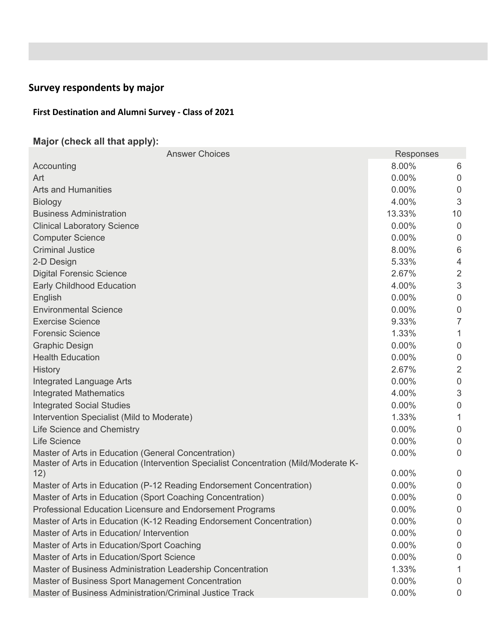# **Survey respondents by major**

# **First Destination and Alumni Survey ‐ Class of 2021**

# **Major (check all that apply):**

| <b>Answer Choices</b>                                                                | Responses |                |
|--------------------------------------------------------------------------------------|-----------|----------------|
| Accounting                                                                           | 8.00%     | 6              |
| Art                                                                                  | 0.00%     | $\overline{0}$ |
| <b>Arts and Humanities</b>                                                           | $0.00\%$  | $\overline{0}$ |
| <b>Biology</b>                                                                       | 4.00%     | $\sqrt{3}$     |
| <b>Business Administration</b>                                                       | 13.33%    | 10             |
| <b>Clinical Laboratory Science</b>                                                   | 0.00%     | $\overline{0}$ |
| <b>Computer Science</b>                                                              | 0.00%     | $\overline{0}$ |
| <b>Criminal Justice</b>                                                              | 8.00%     | 6              |
| 2-D Design                                                                           | 5.33%     | 4              |
| <b>Digital Forensic Science</b>                                                      | 2.67%     | $\overline{2}$ |
| <b>Early Childhood Education</b>                                                     | 4.00%     | $\sqrt{3}$     |
| English                                                                              | $0.00\%$  | $\mathbf 0$    |
| <b>Environmental Science</b>                                                         | $0.00\%$  | $\mathbf 0$    |
| <b>Exercise Science</b>                                                              | 9.33%     | 7              |
| <b>Forensic Science</b>                                                              | 1.33%     | 1              |
| <b>Graphic Design</b>                                                                | $0.00\%$  | $\mathbf 0$    |
| <b>Health Education</b>                                                              | $0.00\%$  | $\overline{0}$ |
| <b>History</b>                                                                       | 2.67%     | $\overline{2}$ |
| <b>Integrated Language Arts</b>                                                      | 0.00%     | $\overline{0}$ |
| <b>Integrated Mathematics</b>                                                        | 4.00%     | 3              |
| <b>Integrated Social Studies</b>                                                     | $0.00\%$  | $\mathbf 0$    |
| Intervention Specialist (Mild to Moderate)                                           | 1.33%     | 1              |
| Life Science and Chemistry                                                           | 0.00%     | $\overline{0}$ |
| <b>Life Science</b>                                                                  | 0.00%     | $\mathbf 0$    |
| Master of Arts in Education (General Concentration)                                  | 0.00%     | $\mathbf 0$    |
| Master of Arts in Education (Intervention Specialist Concentration (Mild/Moderate K- |           |                |
| 12)                                                                                  | 0.00%     | 0              |
| Master of Arts in Education (P-12 Reading Endorsement Concentration)                 | 0.00%     | $\mathbf 0$    |
| Master of Arts in Education (Sport Coaching Concentration)                           | 0.00%     | 0              |
| Professional Education Licensure and Endorsement Programs                            | 0.00%     | Ü              |
| Master of Arts in Education (K-12 Reading Endorsement Concentration)                 | 0.00%     | 0              |
| Master of Arts in Education/ Intervention                                            | 0.00%     | 0              |
| Master of Arts in Education/Sport Coaching                                           | 0.00%     | 0              |
| Master of Arts in Education/Sport Science                                            | 0.00%     | 0              |
| Master of Business Administration Leadership Concentration                           | 1.33%     | 1              |
| Master of Business Sport Management Concentration                                    | 0.00%     | 0              |
| Master of Business Administration/Criminal Justice Track                             | 0.00%     | 0              |